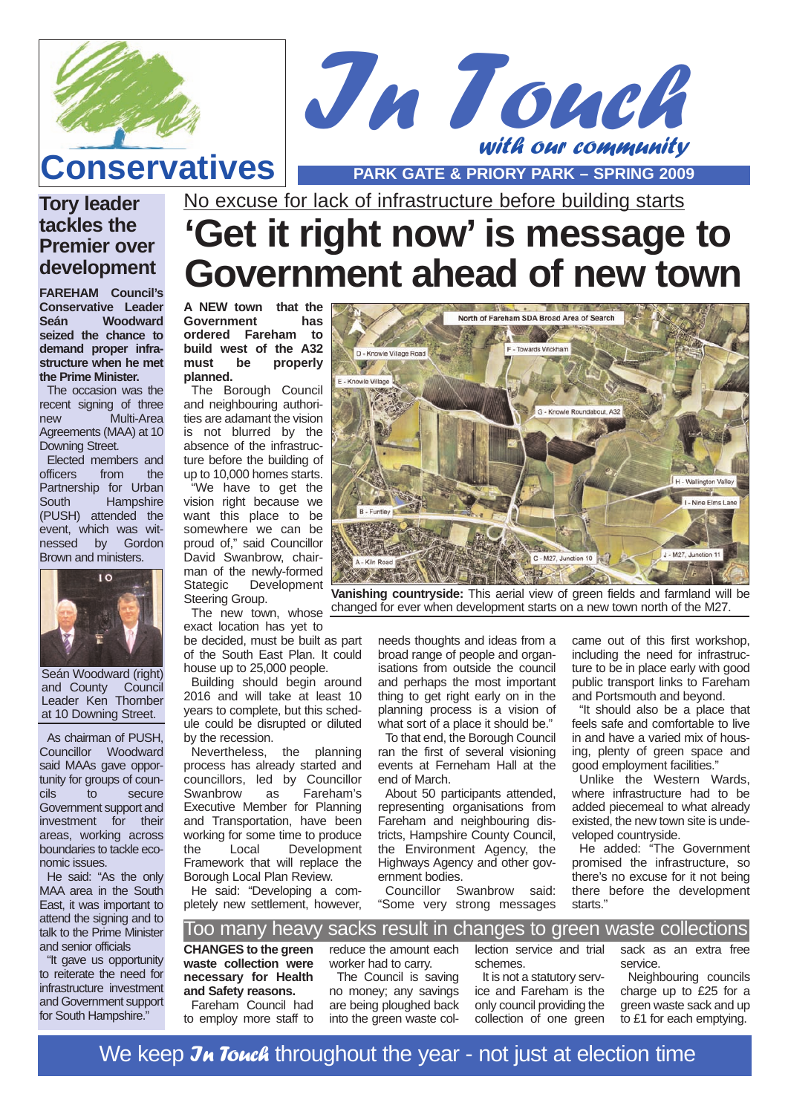



## **Conservatives PARK GATE & PRIORY PARK – SPRING 2009**

### **Tory leader tackles the Premier over development**

**FAREHAM Council's Conservative Leader Woodward seized the chance to demand proper infrastructure when he met the Prime Minister.**

The occasion was the recent signing of three new Multi-Area Agreements (MAA) at 10 Downing Street.

Elected members and officers from the Partnership for Urban South Hampshire (PUSH) attended the event, which was wit-<br>nessed by Gordon nessed by Brown and ministers.



Seán Woodward (right)<br>and County Council and County Leader Ken Thornber at 10 Downing Street.

As chairman of PUSH, Councillor Woodward said MAAs gave opportunity for groups of coun-<br>cils to secure to secure Government support and investment for their areas, working across boundaries to tackle economic issues.

He said: "As the only MAA area in the South East, it was important to attend the signing and to talk to the Prime Minister and senior officials

"It gave us opportunity to reiterate the need for infrastructure investment and Government support for South Hampshire."

No excuse for lack of infrastructure before building starts

# **'Get it right now' is message to Government ahead of new town**

**A NEW town that the Government has ordered Fareham to build west of the A32 must be properly planned.**

The Borough Council and neighbouring authorities are adamant the vision is not blurred by the absence of the infrastructure before the building of up to 10,000 homes starts.

"We have to get the vision right because we want this place to be somewhere we can be proud of," said Councillor David Swanbrow, chairman of the newly-formed Stategic Development<br>Steering Group. Steering Group.

exact location has yet to

be decided, must be built as part of the South East Plan. It could house up to 25,000 people.

Building should begin around 2016 and will take at least 10 years to complete, but this schedule could be disrupted or diluted by the recession.<br>Nevertheless.

the planning process has already started and councillors, led by Councillor Swanbrow as Fareham's Executive Member for Planning and Transportation, have been working for some time to produce<br>the Local Development Development Framework that will replace the Borough Local Plan Review.

He said: "Developing a completely new settlement, however,



coding order.<br>The new town, whose changed for ever when development starts on a new town north of the M27. **Vanishing countryside:** This aerial view of green fields and farmland will be

needs thoughts and ideas from a broad range of people and organisations from outside the council and perhaps the most important thing to get right early on in the planning process is a vision of what sort of a place it should be."

To that end, the Borough Council ran the first of several visioning events at Ferneham Hall at the end of March.

About 50 participants attended, representing organisations from Fareham and neighbouring districts, Hampshire County Council, the Environment Agency, the Highways Agency and other government bodies.

Councillor Swanbrow said: "Some very strong messages

came out of this first workshop, including the need for infrastructure to be in place early with good public transport links to Fareham and Portsmouth and beyond.

"It should also be a place that feels safe and comfortable to live in and have a varied mix of housing, plenty of green space and good employment facilities."

Unlike the Western Wards, where infrastructure had to be added piecemeal to what already existed, the new town site is undeveloped countryside.

He added: "The Government promised the infrastructure, so there's no excuse for it not being there before the development starts."

Too many heavy sacks result in changes to green waste collections

**CHANGES to the green waste collection were necessary for Health and Safety reasons.**

Fareham Council had to employ more staff to reduce the amount each worker had to carry.

The Council is saving no money; any savings are being ploughed back into the green waste collection service and trial schemes.

It is not a statutory service and Fareham is the only council providing the collection of one green sack as an extra free service.

Neighbouring councils charge up to £25 for a green waste sack and up to £1 for each emptying.

We keep  $\lambda$  Touch throughout the year - not just at election time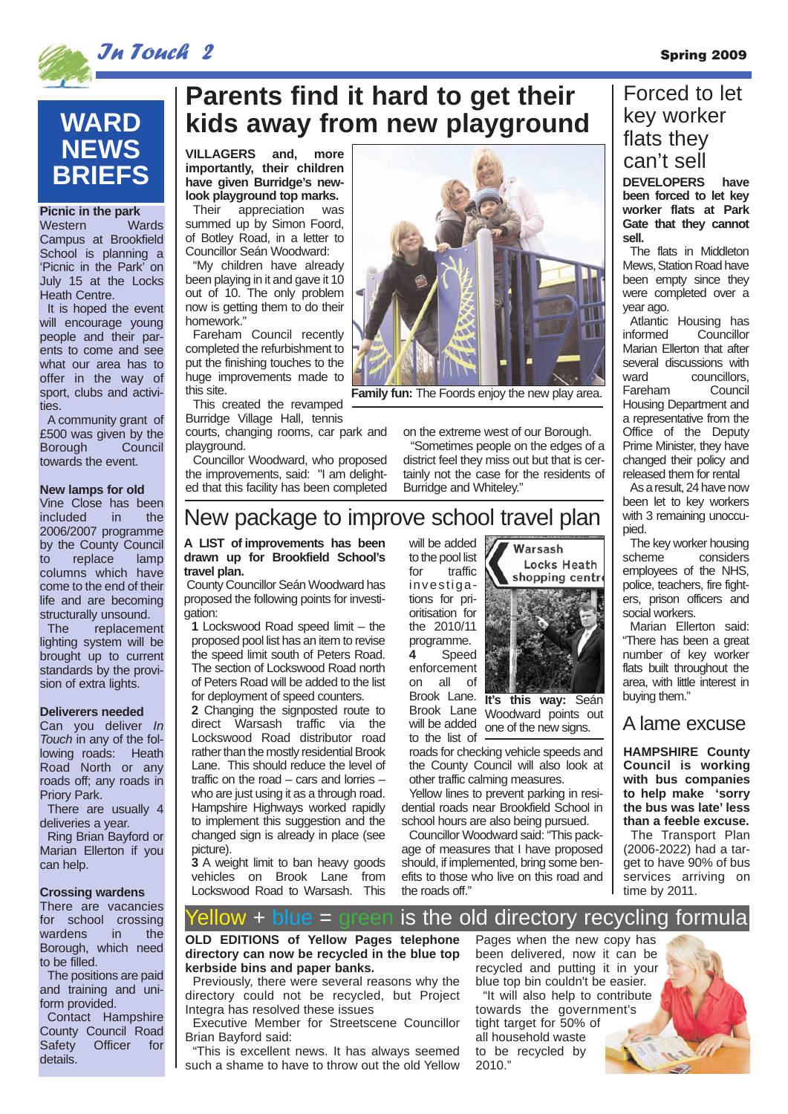

## **WARD NEWS BRIEFS**

#### **Picnic in the park**

Western Wards Campus at Brookfield School is planning a 'Picnic in the Park' on July 15 at the Locks Heath Centre.

It is hoped the event will encourage young people and their parents to come and see what our area has to offer in the way of sport, clubs and activities.

A community grant of £500 was given by the<br>Borough Council Borough towards the event.

#### **New lamps for old**

Vine Close has been<br>included in the included in 2006/2007 programme by the County Council to replace lamp columns which have come to the end of their life and are becoming structurally unsound.<br>The replacemer

replacement lighting system will be brought up to current standards by the provision of extra lights.

#### **Deliverers needed**

Can you deliver In Touch in any of the following roads: Heath Road North or any roads off; any roads in Priory Park.

There are usually 4 deliveries a year. Ring Brian Bayford or Marian Ellerton if you can help.

#### **Crossing wardens**

There are vacancies for school crossing wardens in the Borough, which need to be filled.

The positions are paid and training and uniform provided.

Contact Hampshire County Council Road Safety Officer for details.

## **Parents find it hard to get their kids away from new playground**

**VILLAGERS and, more importantly, their children have given Burridge's newlook playground top marks.**

Their appreciation was summed up by Simon Foord, of Botley Road, in a letter to Councillor Seán Woodward:

"My children have already been playing in it and gave it 10 out of 10. The only problem now is getting them to do their homework."

Fareham Council recently completed the refurbishment to put the finishing touches to the huge improvements made to this site.

This created the revamped Burridge Village Hall, tennis

**travel plan.** 

gation:

courts, changing rooms, car park and playground.

Councillor Woodward, who proposed the improvements, said: "I am delighted that this facility has been completed



**Family fun:** The Foords enjoy the new play area.

on the extreme west of our Borough.

"Sometimes people on the edges of a district feel they miss out but that is certainly not the case for the residents of Burridge and Whiteley."

### New package to improve school travel plan

#### **A LIST of improvements has been drawn up for Brookfield School's** County Councillor Seán Woodward has proposed the following points for investi-**1** Lockswood Road speed limit – the will be added | to the pool list<br>for traffic

proposed pool list has an item to revise the speed limit south of Peters Road. The section of Lockswood Road north of Peters Road will be added to the list for deployment of speed counters.

**2** Changing the signposted route to direct Warsash traffic via the Lockswood Road distributor road rather than the mostly residential Brook Lane. This should reduce the level of traffic on the road – cars and lorries – who are just using it as a through road. Hampshire Highways worked rapidly to implement this suggestion and the changed sign is already in place (see picture).

**3** A weight limit to ban heavy goods<br>vehicles on Brook Lane from vehicles on Brook Lane Lockswood Road to Warsash. This investigations for prioritisation for the 2010/11 programme. **4** Speed enforcement on all of Brook Lane.

traffic

Brook Lane Woodward points out will be added to the list of roads for checking vehicle speeds and one of the new signs.

**It's this way:** Seán

Warsash

**Locks Heath** shopping centr

the County Council will also look at other traffic calming measures.

Yellow lines to prevent parking in residential roads near Brookfield School in school hours are also being pursued.

Councillor Woodward said: "This package of measures that I have proposed should, if implemented, bring some benefits to those who live on this road and the roads off."

### Forced to let key worker flats they can't sell

**DEVELOPERS have been forced to let key worker flats at Park Gate that they cannot sell.**

The flats in Middleton Mews, Station Road have been empty since they were completed over a year ago.

Atlantic Housing has informed Councillor Marian Ellerton that after several discussions with ward councillors Fareham Council Housing Department and a representative from the Office of the Deputy Prime Minister, they have changed their policy and released them for rental

As a result, 24 have now been let to key workers with 3 remaining unoccupied.

The key worker housing scheme considers employees of the NHS, police, teachers, fire fighters, prison officers and social workers.

Marian Ellerton said: "There has been a great number of key worker flats built throughout the area, with little interest in buying them."

#### A lame excuse

**HAMPSHIRE County Council is working with bus companies to help make 'sorry the bus was late' less than a feeble excuse.**

The Transport Plan (2006-2022) had a target to have 90% of bus services arriving on time by 2011.

#### $\lambda$ ow + blue = green is the old directory recycling formula

**OLD EDITIONS of Yellow Pages telephone directory can now be recycled in the blue top kerbside bins and paper banks.**

Previously, there were several reasons why the directory could not be recycled, but Project Integra has resolved these issues

Executive Member for Streetscene Councillor Brian Bayford said:

"This is excellent news. It has always seemed such a shame to have to throw out the old Yellow

Pages when the new copy has been delivered, now it can be recycled and putting it in your blue top bin couldn't be easier. "It will also help to contribute towards the government's tight target for 50% of all household waste to be recycled by 2010."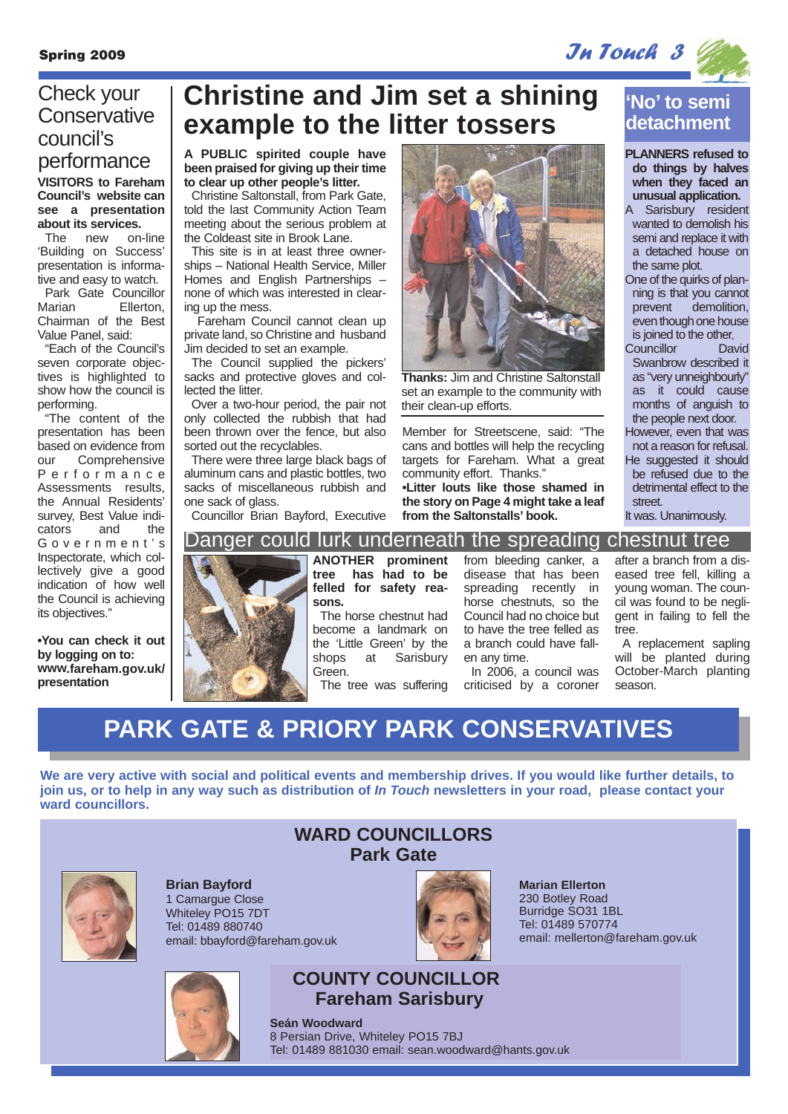$S_{\rm pring}$  2009 In Touch 3

### **VISITORS to Fareham Council's website can see a presentation about its services.**<br>The new on-line Check your **Conservative** council's performance

The new 'Building on Success' presentation is informative and easy to watch. Park Gate Councillor Marian Ellerton, Chairman of the Best Value Panel, said:

"Each of the Council's seven corporate objectives is highlighted to show how the council is performing.

"The content of the presentation has been based on evidence from our Comprehensive Performance Assessments results, the Annual Residents' survey, Best Value indicators and the Government' s Inspectorate, which collectively give a good indication of how well the Council is achieving its objectives."

**•You can check it out by logging on to: www.fareham.gov.uk/ presentation** 

## **Christine and Jim set a shining example to the litter tossers**

**A PUBLIC spirited couple have been praised for giving up their time to clear up other people's litter.**

Christine Saltonstall, from Park Gate, told the last Community Action Team meeting about the serious problem at the Coldeast site in Brook Lane.

This site is in at least three ownerships – National Health Service, Miller Homes and English Partnerships – none of which was interested in clearing up the mess.

Fareham Council cannot clean up private land, so Christine and husband Jim decided to set an example.

The Council supplied the pickers' sacks and protective gloves and collected the litter.

Over a two-hour period, the pair not only collected the rubbish that had been thrown over the fence, but also sorted out the recyclables.

There were three large black bags of aluminum cans and plastic bottles, two sacks of miscellaneous rubbish and one sack of glass.

Councillor Brian Bayford, Executive



**Thanks:** Jim and Christine Saltonstall set an example to the community with their clean-up efforts.

Member for Streetscene, said: "The cans and bottles will help the recycling targets for Fareham. What a great community effort. Thanks." **•Litter louts like those shamed in the story on Page 4 might take a leaf**

**from the Saltonstalls' book.**

**'No' to semi detachment**

**PLANNERS refused to do things by halves when they faced an unusual application.**

A Sarisbury resident wanted to demolish his semi and replace it with a detached house on the same plot.

- One of the quirks of planning is that you cannot prevent demolition, even though one house is joined to the other.
- Councillor David Swanbrow described it as "very unneighbourly" as it could cause months of anguish to the people next door.
- However, even that was not a reason for refusal. He suggested it should be refused due to the detrimental effect to the street.

It was. Unanimously.



**ANOTHER prominent tree has had to be felled for safety reasons.** 

The horse chestnut had become a landmark on the 'Little Green' by the<br>shops at Sarisbury Sarisbury Green.

The tree was suffering

from bleeding canker, a disease that has been spreading recently in horse chestnuts, so the Council had no choice but to have the tree felled as a branch could have fallen any time.

In 2006, a council was criticised by a coroner after a branch from a diseased tree fell, killing a young woman. The council was found to be negligent in failing to fell the tree.

A replacement sapling will be planted during October-March planting season.

## **PARK GATE & PRIORY PARK CONSERVATIVES**

**We are very active with social and political events and membership drives. If you would like further details, to join us, or to help in any way such as distribution of In Touch newsletters in your road, please contact your ward councillors.**



**Brian Bayford** 1 Camargue Close Whiteley PO15 7DT Tel: 01489 880740 email: bbayford@fareham.gov.uk



### **WARD COUNCILLORS Park Gate**



**Marian Ellerton** 230 Botley Road Burridge SO31 1BL Tel: 01489 570774 email: mellerton@fareham.gov.uk

### **COUNTY COUNCILLOR Fareham Sarisbury**

**Seán Woodward** 8 Persian Drive, Whiteley PO15 7BJ Tel: 01489 881030 email: sean.woodward@hants.gov.uk